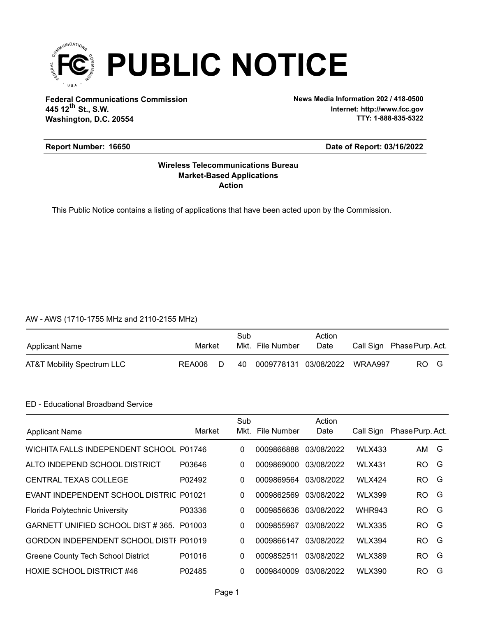

**Federal Communications Commission News Media Information 202 / 418-0500 Washington, D.C. 20554 th 445 12 St., S.W.**

**Internet: http://www.fcc.gov TTY: 1-888-835-5322**

## **Report Number: 16650**

#### **Date of Report: 03/16/2022**

### **Action Market-Based Applications Wireless Telecommunications Bureau**

This Public Notice contains a listing of applications that have been acted upon by the Commission.

#### AW - AWS (1710-1755 MHz and 2110-2155 MHz)

| Applicant Name             | Market |   | Sub | Mkt. File Number                | Action<br>Date | Call Sign Phase Purp. Act. |  |
|----------------------------|--------|---|-----|---------------------------------|----------------|----------------------------|--|
| AT&T Mobility Spectrum LLC | REA006 | D | 40  | 0009778131  03/08/2022  WRAA997 |                | RO G                       |  |

### ED - Educational Broadband Service

| <b>Applicant Name</b>                    | Market | Sub<br>Mkt. | File Number | Action<br>Date | Call Sign     | Phase Purp. Act. |   |
|------------------------------------------|--------|-------------|-------------|----------------|---------------|------------------|---|
| WICHITA FALLS INDEPENDENT SCHOOL P01746  |        | 0           | 0009866888  | 03/08/2022     | <b>WLX433</b> | AM G             |   |
| ALTO INDEPEND SCHOOL DISTRICT            | P03646 | 0           | 0009869000  | 03/08/2022     | <b>WLX431</b> | RO.              | G |
| <b>CENTRAL TEXAS COLLEGE</b>             | P02492 | 0           | 0009869564  | 03/08/2022     | <b>WLX424</b> | RO.              | G |
| EVANT INDEPENDENT SCHOOL DISTRIC P01021  |        | 0           | 0009862569  | 03/08/2022     | <b>WLX399</b> | RO.              | G |
| Florida Polytechnic University           | P03336 | 0           | 0009856636  | 03/08/2022     | <b>WHR943</b> | RO.              | G |
| GARNETT UNIFIED SCHOOL DIST #365. P01003 |        | 0           | 0009855967  | 03/08/2022     | <b>WLX335</b> | RO.              | G |
| GORDON INDEPENDENT SCHOOL DISTI P01019   |        | 0           | 0009866147  | 03/08/2022     | <b>WLX394</b> | RO.              | G |
| Greene County Tech School District       | P01016 | 0           | 0009852511  | 03/08/2022     | <b>WLX389</b> | RO.              | G |
| <b>HOXIE SCHOOL DISTRICT #46</b>         | P02485 | $\Omega$    | 0009840009  | 03/08/2022     | <b>WLX390</b> | RO.              | G |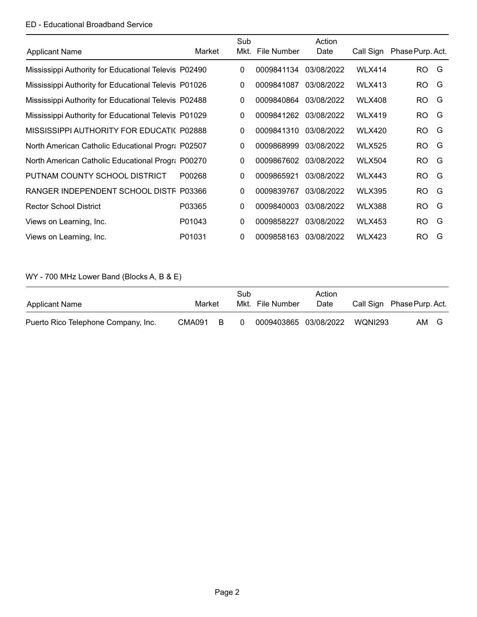## ED - Educational Broadband Service

|                                                      |        | Sub          |             | Action     |               |                  |   |
|------------------------------------------------------|--------|--------------|-------------|------------|---------------|------------------|---|
| <b>Applicant Name</b>                                | Market | Mkt.         | File Number | Date       | Call Sign     | Phase Purp. Act. |   |
| Mississippi Authority for Educational Televis P02490 |        | 0            | 0009841134  | 03/08/2022 | <b>WLX414</b> | RO.              | G |
| Mississippi Authority for Educational Televis P01026 |        | 0            | 0009841087  | 03/08/2022 | <b>WLX413</b> | <b>RO</b>        | G |
| Mississippi Authority for Educational Televis P02488 |        | 0            | 0009840864  | 03/08/2022 | <b>WLX408</b> | RO.              | G |
| Mississippi Authority for Educational Televis P01029 |        | 0            | 0009841262  | 03/08/2022 | <b>WLX419</b> | RO.              | G |
| MISSISSIPPI AUTHORITY FOR EDUCATI( P02888            |        | 0            | 0009841310  | 03/08/2022 | <b>WLX420</b> | <b>RO</b>        | G |
| North American Catholic Educational Progra P02507    |        | 0            | 0009868999  | 03/08/2022 | <b>WLX525</b> | RO.              | G |
| North American Catholic Educational Progra P00270    |        | 0            | 0009867602  | 03/08/2022 | <b>WLX504</b> | RO.              | G |
| PUTNAM COUNTY SCHOOL DISTRICT                        | P00268 | 0            | 0009865921  | 03/08/2022 | <b>WLX443</b> | RO.              | G |
| RANGER INDEPENDENT SCHOOL DISTF P03366               |        | 0            | 0009839767  | 03/08/2022 | <b>WLX395</b> | <b>RO</b>        | G |
| <b>Rector School District</b>                        | P03365 | 0            | 0009840003  | 03/08/2022 | <b>WLX388</b> | <b>RO</b>        | G |
| Views on Learning, Inc.                              | P01043 | 0            | 0009858227  | 03/08/2022 | <b>WLX453</b> | RO.              | G |
| Views on Learning, Inc.                              | P01031 | $\mathbf{0}$ | 0009858163  | 03/08/2022 | <b>WLX423</b> | RO.              | G |

WY - 700 MHz Lower Band (Blocks A, B & E)

| Applicant Name                      | Market |   | Sub      | Mkt. File Number      | Action<br>Date |         | Call Sign Phase Purp. Act. |  |
|-------------------------------------|--------|---|----------|-----------------------|----------------|---------|----------------------------|--|
| Puerto Rico Telephone Company, Inc. | CMA091 | B | $\Omega$ | 0009403865 03/08/2022 |                | WONI293 | AM<br>G                    |  |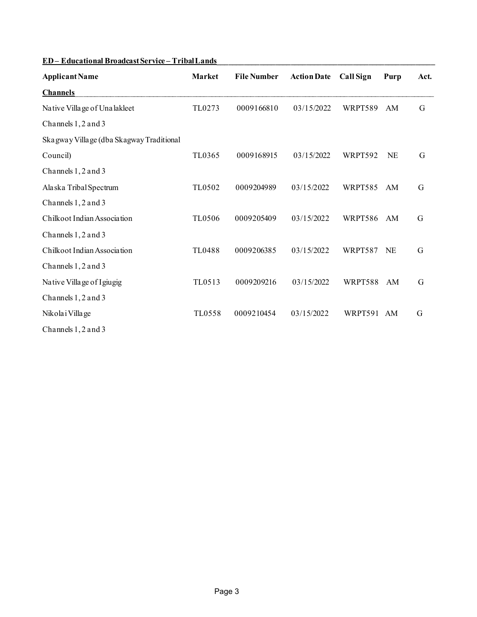| <b>Applicant Name</b>                    | <b>Market</b> | <b>File Number</b> | <b>Action Date</b> | <b>Call Sign</b> | Purp      | Act. |
|------------------------------------------|---------------|--------------------|--------------------|------------------|-----------|------|
| <b>Channels</b>                          |               |                    |                    |                  |           |      |
| Native Village of Unalakleet             | TL0273        | 0009166810         | 03/15/2022         | WRPT589          | AM        | G    |
| Channels 1, 2 and 3                      |               |                    |                    |                  |           |      |
| Skagway Village (dba Skagway Traditional |               |                    |                    |                  |           |      |
| Council)                                 | TL0365        | 0009168915         | 03/15/2022         | WRPT592          | <b>NE</b> | G    |
| Channels 1, 2 and 3                      |               |                    |                    |                  |           |      |
| Alaska Tribal Spectrum                   | TL0502        | 0009204989         | 03/15/2022         | WRPT585          | AM        | G    |
| Channels 1, 2 and 3                      |               |                    |                    |                  |           |      |
| Chilkoot Indian Association              | TL0506        | 0009205409         | 03/15/2022         | WRPT586          | AM        | G    |
| Channels 1, 2 and 3                      |               |                    |                    |                  |           |      |
| Chilkoot Indian Association              | <b>TL0488</b> | 0009206385         | 03/15/2022         | WRPT587          | NE        | G    |
| Channels 1, 2 and 3                      |               |                    |                    |                  |           |      |
| Native Village of Igiugig                | TL0513        | 0009209216         | 03/15/2022         | WRPT588          | AM        | G    |
| Channels 1, 2 and 3                      |               |                    |                    |                  |           |      |
| Nikola i Villa ge                        | <b>TL0558</b> | 0009210454         | 03/15/2022         | WRPT591 AM       |           | G    |
| Channels 1, 2 and 3                      |               |                    |                    |                  |           |      |

# **ED – Educational Broadcast Service – Tribal Lands\_\_\_\_\_\_\_\_\_\_\_\_\_\_\_\_\_\_\_\_\_\_\_\_\_\_\_\_\_\_\_\_\_\_\_\_\_\_\_\_\_\_\_\_\_\_\_\_\_\_\_\_\_\_\_\_**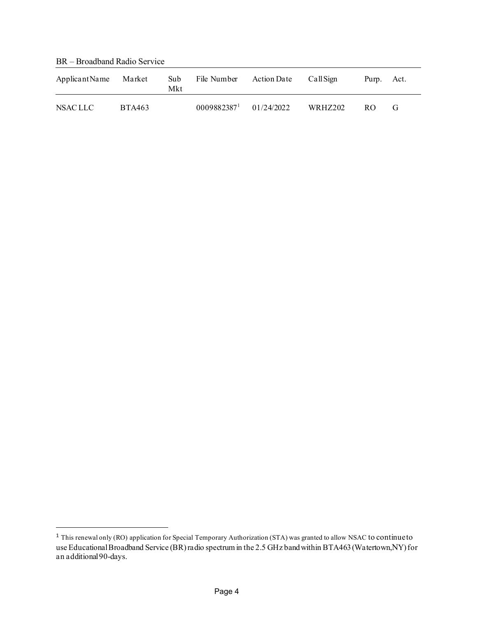BR – Broadband Radio Service

| Applicant Name | Market        | Sub<br>Mkt | File Number | <b>Action Date</b> | CallSign | Purp. | Act. |
|----------------|---------------|------------|-------------|--------------------|----------|-------|------|
| NSAC LLC       | <b>BTA463</b> |            | 00098823871 | 01/24/2022         | WRHZ202  | RO.   | G    |

<span id="page-3-0"></span><sup>1</sup> This renewal only (RO) application for Special Temporary Authorization (STA) was granted to allow NSAC to continue to use Educational Broadband Service (BR) radio spectrum in the 2.5 GHz band within BTA463 (Watertown,NY) for an additional 90-days.